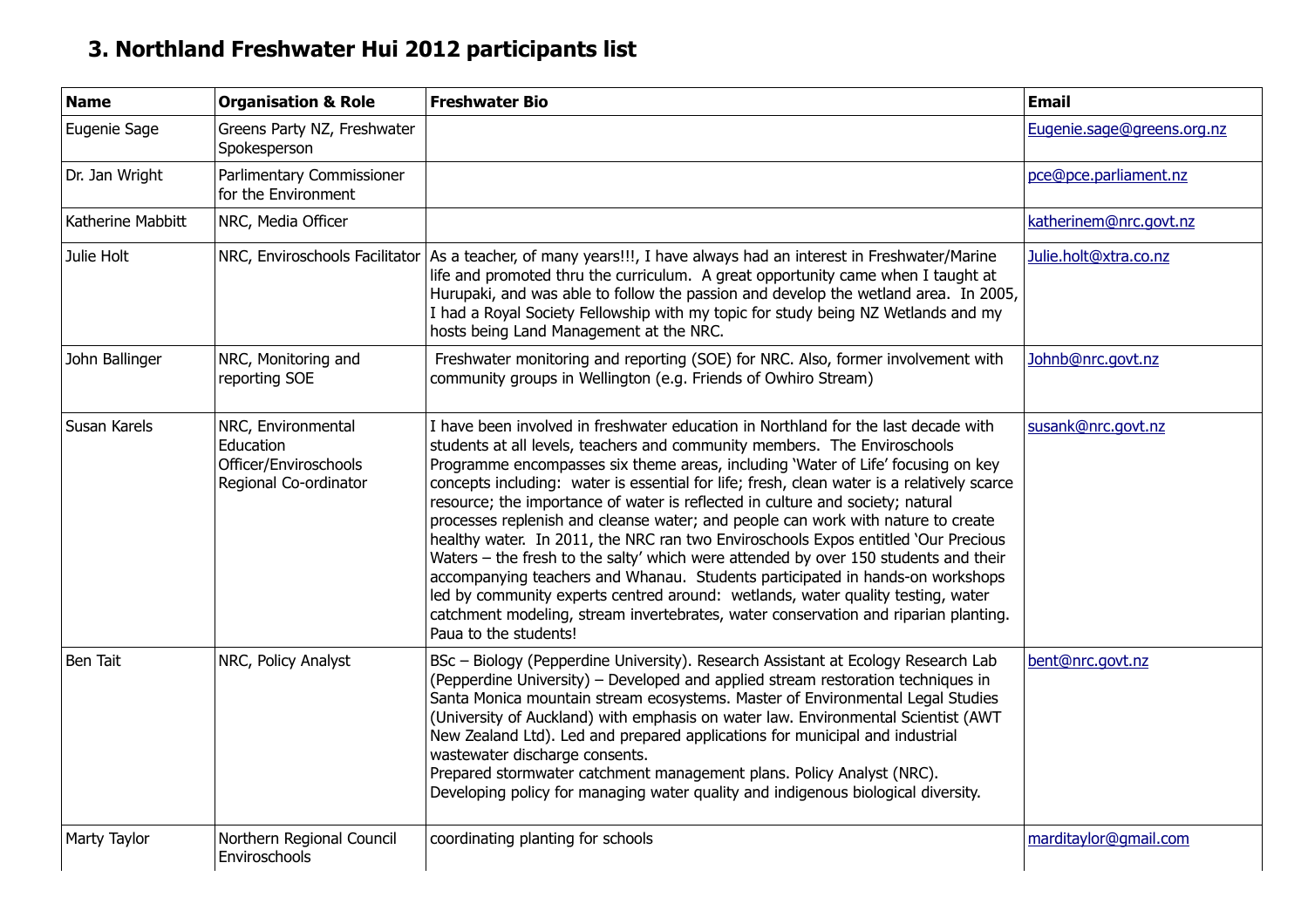## **3. Northland Freshwater Hui 2012 participants list**

| <b>Name</b>       | <b>Organisation &amp; Role</b>                                                    | <b>Freshwater Bio</b>                                                                                                                                                                                                                                                                                                                                                                                                                                                                                                                                                                                                                                                                                                                                                                                                                                                                                                                                                                    | <b>Email</b>               |
|-------------------|-----------------------------------------------------------------------------------|------------------------------------------------------------------------------------------------------------------------------------------------------------------------------------------------------------------------------------------------------------------------------------------------------------------------------------------------------------------------------------------------------------------------------------------------------------------------------------------------------------------------------------------------------------------------------------------------------------------------------------------------------------------------------------------------------------------------------------------------------------------------------------------------------------------------------------------------------------------------------------------------------------------------------------------------------------------------------------------|----------------------------|
| Eugenie Sage      | Greens Party NZ, Freshwater<br>Spokesperson                                       |                                                                                                                                                                                                                                                                                                                                                                                                                                                                                                                                                                                                                                                                                                                                                                                                                                                                                                                                                                                          | Eugenie.sage@greens.org.nz |
| Dr. Jan Wright    | Parlimentary Commissioner<br>for the Environment                                  |                                                                                                                                                                                                                                                                                                                                                                                                                                                                                                                                                                                                                                                                                                                                                                                                                                                                                                                                                                                          | pce@pce.parliament.nz      |
| Katherine Mabbitt | NRC, Media Officer                                                                |                                                                                                                                                                                                                                                                                                                                                                                                                                                                                                                                                                                                                                                                                                                                                                                                                                                                                                                                                                                          | katherinem@nrc.govt.nz     |
| Julie Holt        | NRC, Enviroschools Facilitator                                                    | As a teacher, of many years!!!, I have always had an interest in Freshwater/Marine<br>life and promoted thru the curriculum. A great opportunity came when I taught at<br>Hurupaki, and was able to follow the passion and develop the wetland area. In 2005,<br>I had a Royal Society Fellowship with my topic for study being NZ Wetlands and my<br>hosts being Land Management at the NRC.                                                                                                                                                                                                                                                                                                                                                                                                                                                                                                                                                                                            | Julie.holt@xtra.co.nz      |
| John Ballinger    | NRC, Monitoring and<br>reporting SOE                                              | Freshwater monitoring and reporting (SOE) for NRC. Also, former involvement with<br>community groups in Wellington (e.g. Friends of Owhiro Stream)                                                                                                                                                                                                                                                                                                                                                                                                                                                                                                                                                                                                                                                                                                                                                                                                                                       | Johnb@nrc.govt.nz          |
| Susan Karels      | NRC, Environmental<br>Education<br>Officer/Enviroschools<br>Regional Co-ordinator | I have been involved in freshwater education in Northland for the last decade with<br>students at all levels, teachers and community members. The Enviroschools<br>Programme encompasses six theme areas, including 'Water of Life' focusing on key<br>concepts including: water is essential for life; fresh, clean water is a relatively scarce<br>resource; the importance of water is reflected in culture and society; natural<br>processes replenish and cleanse water; and people can work with nature to create<br>healthy water. In 2011, the NRC ran two Enviroschools Expos entitled 'Our Precious<br>Waters - the fresh to the salty' which were attended by over 150 students and their<br>accompanying teachers and Whanau. Students participated in hands-on workshops<br>led by community experts centred around: wetlands, water quality testing, water<br>catchment modeling, stream invertebrates, water conservation and riparian planting.<br>Paua to the students! | susank@nrc.govt.nz         |
| <b>Ben Tait</b>   | NRC, Policy Analyst                                                               | BSc - Biology (Pepperdine University). Research Assistant at Ecology Research Lab<br>(Pepperdine University) - Developed and applied stream restoration techniques in<br>Santa Monica mountain stream ecosystems. Master of Environmental Legal Studies<br>(University of Auckland) with emphasis on water law. Environmental Scientist (AWT<br>New Zealand Ltd). Led and prepared applications for municipal and industrial<br>wastewater discharge consents.<br>Prepared stormwater catchment management plans. Policy Analyst (NRC).<br>Developing policy for managing water quality and indigenous biological diversity.                                                                                                                                                                                                                                                                                                                                                             | bent@nrc.govt.nz           |
| Marty Taylor      | Northern Regional Council<br>Enviroschools                                        | coordinating planting for schools                                                                                                                                                                                                                                                                                                                                                                                                                                                                                                                                                                                                                                                                                                                                                                                                                                                                                                                                                        | marditaylor@gmail.com      |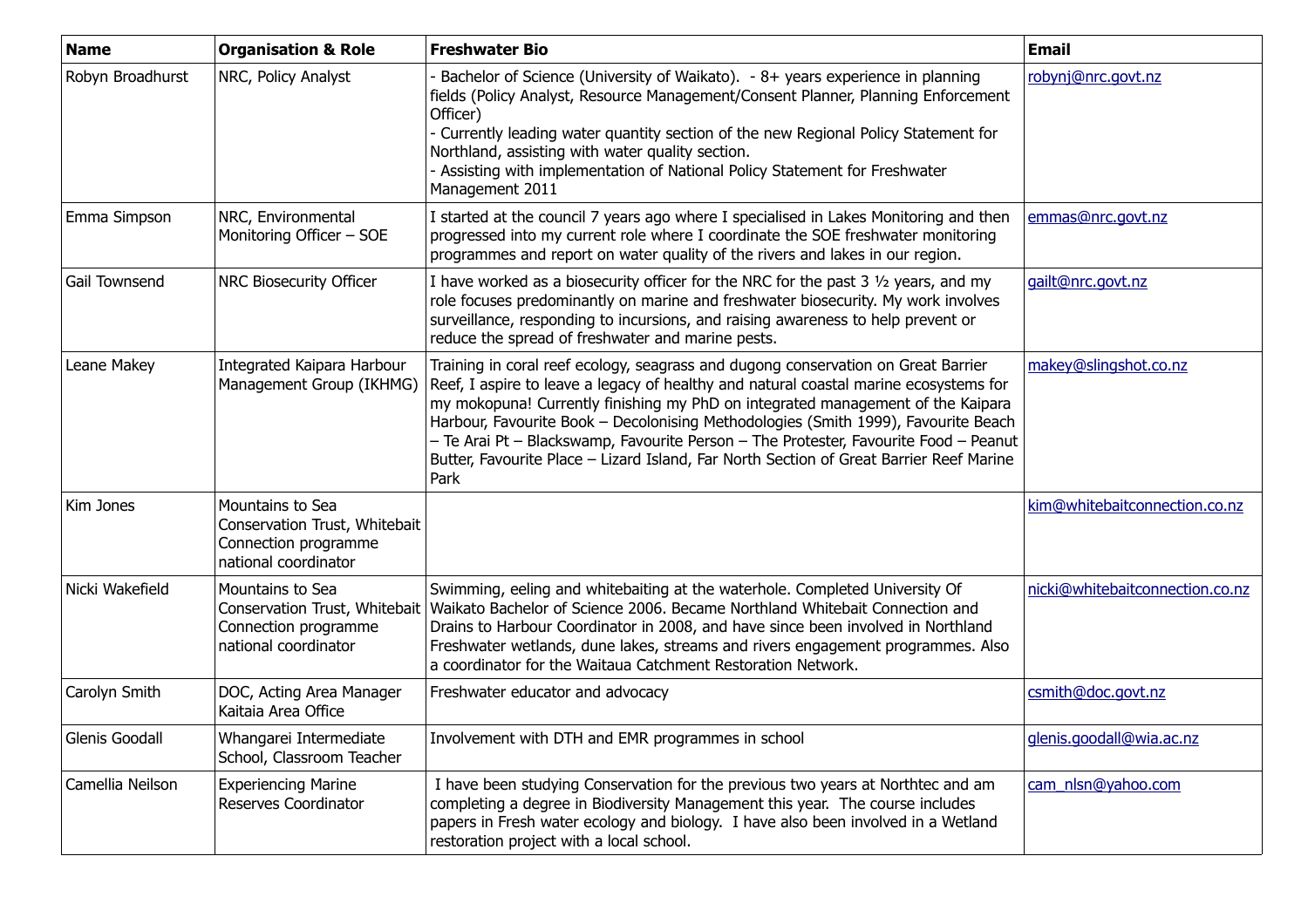| <b>Name</b>      | <b>Organisation &amp; Role</b>                                                                    | <b>Freshwater Bio</b>                                                                                                                                                                                                                                                                                                                                                                                                                                                                                                                          | <b>Email</b>                    |
|------------------|---------------------------------------------------------------------------------------------------|------------------------------------------------------------------------------------------------------------------------------------------------------------------------------------------------------------------------------------------------------------------------------------------------------------------------------------------------------------------------------------------------------------------------------------------------------------------------------------------------------------------------------------------------|---------------------------------|
| Robyn Broadhurst | NRC, Policy Analyst                                                                               | Bachelor of Science (University of Waikato). - 8+ years experience in planning<br>fields (Policy Analyst, Resource Management/Consent Planner, Planning Enforcement<br>Officer)<br>- Currently leading water quantity section of the new Regional Policy Statement for<br>Northland, assisting with water quality section.<br>- Assisting with implementation of National Policy Statement for Freshwater<br>Management 2011                                                                                                                   | robynj@nrc.govt.nz              |
| Emma Simpson     | NRC, Environmental<br>Monitoring Officer - SOE                                                    | I started at the council 7 years ago where I specialised in Lakes Monitoring and then<br>progressed into my current role where I coordinate the SOE freshwater monitoring<br>programmes and report on water quality of the rivers and lakes in our region.                                                                                                                                                                                                                                                                                     | emmas@nrc.govt.nz               |
| Gail Townsend    | NRC Biosecurity Officer                                                                           | I have worked as a biosecurity officer for the NRC for the past $3\frac{1}{2}$ years, and my<br>role focuses predominantly on marine and freshwater biosecurity. My work involves<br>surveillance, responding to incursions, and raising awareness to help prevent or<br>reduce the spread of freshwater and marine pests.                                                                                                                                                                                                                     | gailt@nrc.govt.nz               |
| Leane Makey      | Integrated Kaipara Harbour<br>Management Group (IKHMG)                                            | Training in coral reef ecology, seagrass and dugong conservation on Great Barrier<br>Reef, I aspire to leave a legacy of healthy and natural coastal marine ecosystems for<br>my mokopuna! Currently finishing my PhD on integrated management of the Kaipara<br>Harbour, Favourite Book - Decolonising Methodologies (Smith 1999), Favourite Beach<br>- Te Arai Pt - Blackswamp, Favourite Person - The Protester, Favourite Food - Peanut<br>Butter, Favourite Place - Lizard Island, Far North Section of Great Barrier Reef Marine<br>Park | makey@slingshot.co.nz           |
| Kim Jones        | Mountains to Sea<br>Conservation Trust, Whitebait<br>Connection programme<br>national coordinator |                                                                                                                                                                                                                                                                                                                                                                                                                                                                                                                                                | kim@whitebaitconnection.co.nz   |
| Nicki Wakefield  | Mountains to Sea<br>Connection programme<br>national coordinator                                  | Swimming, eeling and whitebaiting at the waterhole. Completed University Of<br>Conservation Trust, Whitebait   Waikato Bachelor of Science 2006. Became Northland Whitebait Connection and<br>Drains to Harbour Coordinator in 2008, and have since been involved in Northland<br>Freshwater wetlands, dune lakes, streams and rivers engagement programmes. Also<br>a coordinator for the Waitaua Catchment Restoration Network.                                                                                                              | nicki@whitebaitconnection.co.nz |
| Carolyn Smith    | DOC, Acting Area Manager<br>Kaitaia Area Office                                                   | Freshwater educator and advocacy                                                                                                                                                                                                                                                                                                                                                                                                                                                                                                               | csmith@doc.govt.nz              |
| Glenis Goodall   | Whangarei Intermediate<br>School, Classroom Teacher                                               | Involvement with DTH and EMR programmes in school                                                                                                                                                                                                                                                                                                                                                                                                                                                                                              | glenis.goodall@wia.ac.nz        |
| Camellia Neilson | <b>Experiencing Marine</b><br><b>Reserves Coordinator</b>                                         | I have been studying Conservation for the previous two years at Northtec and am<br>completing a degree in Biodiversity Management this year. The course includes<br>papers in Fresh water ecology and biology. I have also been involved in a Wetland<br>restoration project with a local school.                                                                                                                                                                                                                                              | cam nlsn@yahoo.com              |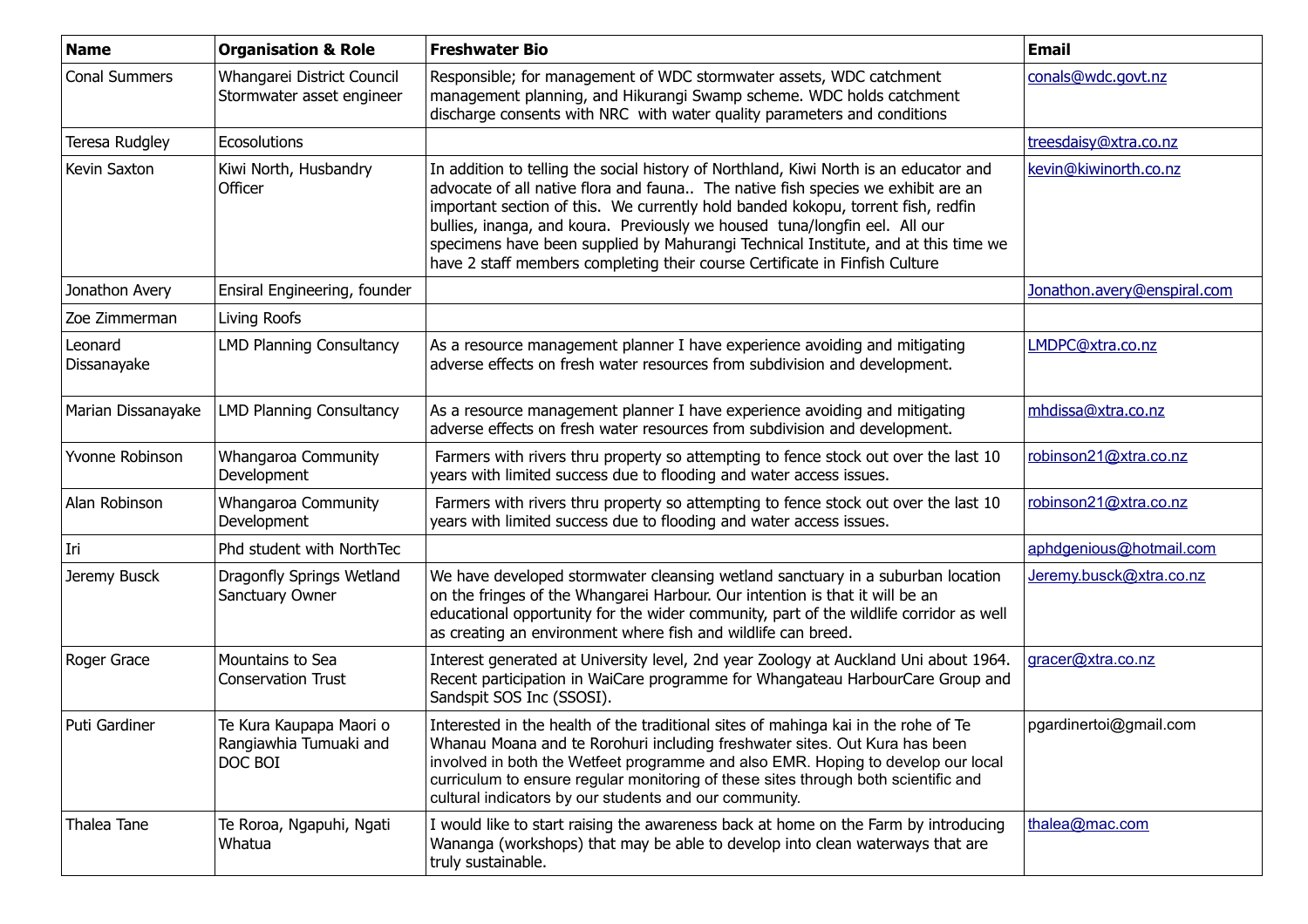| <b>Name</b>            | <b>Organisation &amp; Role</b>                               | <b>Freshwater Bio</b>                                                                                                                                                                                                                                                                                                                                                                                                                                                                                            | <b>Email</b>                |
|------------------------|--------------------------------------------------------------|------------------------------------------------------------------------------------------------------------------------------------------------------------------------------------------------------------------------------------------------------------------------------------------------------------------------------------------------------------------------------------------------------------------------------------------------------------------------------------------------------------------|-----------------------------|
| <b>Conal Summers</b>   | Whangarei District Council<br>Stormwater asset engineer      | Responsible; for management of WDC stormwater assets, WDC catchment<br>management planning, and Hikurangi Swamp scheme. WDC holds catchment<br>discharge consents with NRC with water quality parameters and conditions                                                                                                                                                                                                                                                                                          | conals@wdc.govt.nz          |
| Teresa Rudgley         | Ecosolutions                                                 |                                                                                                                                                                                                                                                                                                                                                                                                                                                                                                                  | treesdaisy@xtra.co.nz       |
| Kevin Saxton           | Kiwi North, Husbandry<br>Officer                             | In addition to telling the social history of Northland, Kiwi North is an educator and<br>advocate of all native flora and fauna The native fish species we exhibit are an<br>important section of this. We currently hold banded kokopu, torrent fish, redfin<br>bullies, inanga, and koura. Previously we housed tuna/longfin eel. All our<br>specimens have been supplied by Mahurangi Technical Institute, and at this time we<br>have 2 staff members completing their course Certificate in Finfish Culture | kevin@kiwinorth.co.nz       |
| Jonathon Avery         | Ensiral Engineering, founder                                 |                                                                                                                                                                                                                                                                                                                                                                                                                                                                                                                  | Jonathon.avery@enspiral.com |
| Zoe Zimmerman          | Living Roofs                                                 |                                                                                                                                                                                                                                                                                                                                                                                                                                                                                                                  |                             |
| Leonard<br>Dissanayake | <b>LMD Planning Consultancy</b>                              | As a resource management planner I have experience avoiding and mitigating<br>adverse effects on fresh water resources from subdivision and development.                                                                                                                                                                                                                                                                                                                                                         | LMDPC@xtra.co.nz            |
| Marian Dissanayake     | <b>LMD Planning Consultancy</b>                              | As a resource management planner I have experience avoiding and mitigating<br>adverse effects on fresh water resources from subdivision and development.                                                                                                                                                                                                                                                                                                                                                         | mhdissa@xtra.co.nz          |
| Yvonne Robinson        | Whangaroa Community<br>Development                           | Farmers with rivers thru property so attempting to fence stock out over the last 10<br>years with limited success due to flooding and water access issues.                                                                                                                                                                                                                                                                                                                                                       | robinson21@xtra.co.nz       |
| Alan Robinson          | Whangaroa Community<br>Development                           | Farmers with rivers thru property so attempting to fence stock out over the last 10<br>years with limited success due to flooding and water access issues.                                                                                                                                                                                                                                                                                                                                                       | robinson21@xtra.co.nz       |
| Iri                    | Phd student with NorthTec                                    |                                                                                                                                                                                                                                                                                                                                                                                                                                                                                                                  | aphdgenious@hotmail.com     |
| Jeremy Busck           | Dragonfly Springs Wetland<br>Sanctuary Owner                 | We have developed stormwater cleansing wetland sanctuary in a suburban location<br>on the fringes of the Whangarei Harbour. Our intention is that it will be an<br>educational opportunity for the wider community, part of the wildlife corridor as well<br>as creating an environment where fish and wildlife can breed.                                                                                                                                                                                       | Jeremy.busck@xtra.co.nz     |
| Roger Grace            | Mountains to Sea<br><b>Conservation Trust</b>                | Interest generated at University level, 2nd year Zoology at Auckland Uni about 1964.<br>Recent participation in WaiCare programme for Whangateau HarbourCare Group and<br>Sandspit SOS Inc (SSOSI).                                                                                                                                                                                                                                                                                                              | gracer@xtra.co.nz           |
| Puti Gardiner          | Te Kura Kaupapa Maori o<br>Rangiawhia Tumuaki and<br>DOC BOI | Interested in the health of the traditional sites of mahinga kai in the rohe of Te<br>Whanau Moana and te Rorohuri including freshwater sites. Out Kura has been<br>involved in both the Wetfeet programme and also EMR. Hoping to develop our local<br>curriculum to ensure regular monitoring of these sites through both scientific and<br>cultural indicators by our students and our community.                                                                                                             | pgardinertoi@gmail.com      |
| Thalea Tane            | Te Roroa, Ngapuhi, Ngati<br>Whatua                           | I would like to start raising the awareness back at home on the Farm by introducing<br>Wananga (workshops) that may be able to develop into clean waterways that are<br>truly sustainable.                                                                                                                                                                                                                                                                                                                       | thalea@mac.com              |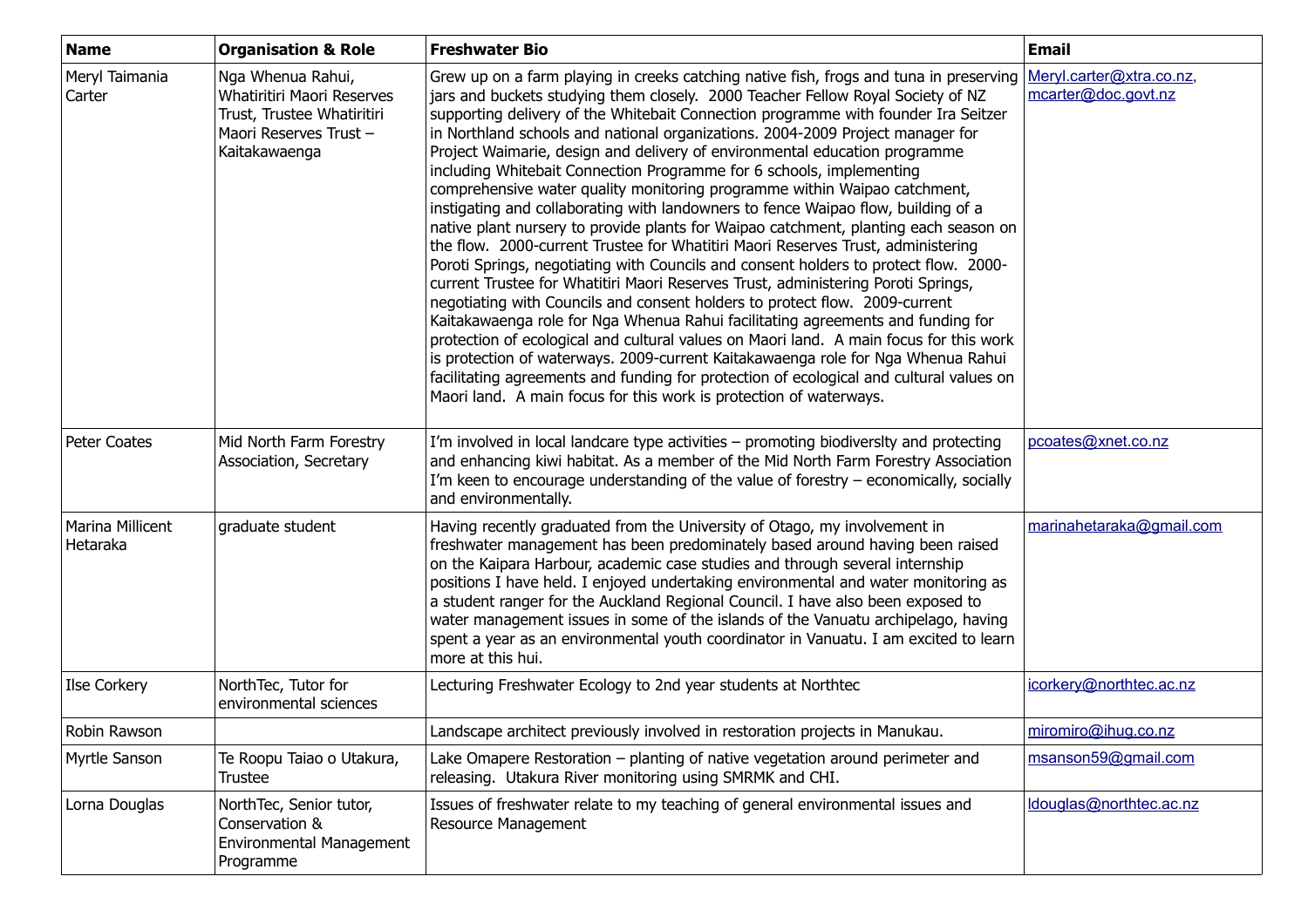| <b>Name</b>                  | <b>Organisation &amp; Role</b>                                                                                                 | <b>Freshwater Bio</b>                                                                                                                                                                                                                                                                                                                                                                                                                                                                                                                                                                                                                                                                                                                                                                                                                                                                                                                                                                                                                                                                                                                                                                                                                                                                                                                                                                                                                                                                                                                               | <b>Email</b>                                    |
|------------------------------|--------------------------------------------------------------------------------------------------------------------------------|-----------------------------------------------------------------------------------------------------------------------------------------------------------------------------------------------------------------------------------------------------------------------------------------------------------------------------------------------------------------------------------------------------------------------------------------------------------------------------------------------------------------------------------------------------------------------------------------------------------------------------------------------------------------------------------------------------------------------------------------------------------------------------------------------------------------------------------------------------------------------------------------------------------------------------------------------------------------------------------------------------------------------------------------------------------------------------------------------------------------------------------------------------------------------------------------------------------------------------------------------------------------------------------------------------------------------------------------------------------------------------------------------------------------------------------------------------------------------------------------------------------------------------------------------------|-------------------------------------------------|
| Meryl Taimania<br>Carter     | Nga Whenua Rahui,<br><b>Whatiritiri Maori Reserves</b><br>Trust, Trustee Whatiritiri<br>Maori Reserves Trust-<br>Kaitakawaenga | Grew up on a farm playing in creeks catching native fish, frogs and tuna in preserving<br>jars and buckets studying them closely. 2000 Teacher Fellow Royal Society of NZ<br>supporting delivery of the Whitebait Connection programme with founder Ira Seitzer<br>in Northland schools and national organizations. 2004-2009 Project manager for<br>Project Waimarie, design and delivery of environmental education programme<br>including Whitebait Connection Programme for 6 schools, implementing<br>comprehensive water quality monitoring programme within Waipao catchment,<br>instigating and collaborating with landowners to fence Waipao flow, building of a<br>native plant nursery to provide plants for Waipao catchment, planting each season on<br>the flow. 2000-current Trustee for Whatitiri Maori Reserves Trust, administering<br>Poroti Springs, negotiating with Councils and consent holders to protect flow. 2000-<br>current Trustee for Whatitiri Maori Reserves Trust, administering Poroti Springs,<br>negotiating with Councils and consent holders to protect flow. 2009-current<br>Kaitakawaenga role for Nga Whenua Rahui facilitating agreements and funding for<br>protection of ecological and cultural values on Maori land. A main focus for this work<br>is protection of waterways. 2009-current Kaitakawaenga role for Nga Whenua Rahui<br>facilitating agreements and funding for protection of ecological and cultural values on<br>Maori land. A main focus for this work is protection of waterways. | Meryl.carter@xtra.co.nz,<br>mcarter@doc.govt.nz |
| Peter Coates                 | Mid North Farm Forestry<br>Association, Secretary                                                                              | I'm involved in local landcare type activities - promoting biodiversity and protecting<br>and enhancing kiwi habitat. As a member of the Mid North Farm Forestry Association<br>I'm keen to encourage understanding of the value of forestry - economically, socially<br>and environmentally.                                                                                                                                                                                                                                                                                                                                                                                                                                                                                                                                                                                                                                                                                                                                                                                                                                                                                                                                                                                                                                                                                                                                                                                                                                                       | pcoates@xnet.co.nz                              |
| Marina Millicent<br>Hetaraka | graduate student                                                                                                               | Having recently graduated from the University of Otago, my involvement in<br>freshwater management has been predominately based around having been raised<br>on the Kaipara Harbour, academic case studies and through several internship<br>positions I have held. I enjoyed undertaking environmental and water monitoring as<br>a student ranger for the Auckland Regional Council. I have also been exposed to<br>water management issues in some of the islands of the Vanuatu archipelago, having<br>spent a year as an environmental youth coordinator in Vanuatu. I am excited to learn<br>more at this hui.                                                                                                                                                                                                                                                                                                                                                                                                                                                                                                                                                                                                                                                                                                                                                                                                                                                                                                                                | marinahetaraka@gmail.com                        |
| Ilse Corkery                 | NorthTec, Tutor for<br>environmental sciences                                                                                  | Lecturing Freshwater Ecology to 2nd year students at Northtec                                                                                                                                                                                                                                                                                                                                                                                                                                                                                                                                                                                                                                                                                                                                                                                                                                                                                                                                                                                                                                                                                                                                                                                                                                                                                                                                                                                                                                                                                       | icorkery@northtec.ac.nz                         |
| Robin Rawson                 |                                                                                                                                | Landscape architect previously involved in restoration projects in Manukau.                                                                                                                                                                                                                                                                                                                                                                                                                                                                                                                                                                                                                                                                                                                                                                                                                                                                                                                                                                                                                                                                                                                                                                                                                                                                                                                                                                                                                                                                         | miromiro@ihug.co.nz                             |
| Myrtle Sanson                | Te Roopu Taiao o Utakura,<br><b>Trustee</b>                                                                                    | Lake Omapere Restoration - planting of native vegetation around perimeter and<br>releasing. Utakura River monitoring using SMRMK and CHI.                                                                                                                                                                                                                                                                                                                                                                                                                                                                                                                                                                                                                                                                                                                                                                                                                                                                                                                                                                                                                                                                                                                                                                                                                                                                                                                                                                                                           | msanson59@gmail.com                             |
| Lorna Douglas                | NorthTec, Senior tutor,<br>Conservation &<br><b>Environmental Management</b><br>Programme                                      | Issues of freshwater relate to my teaching of general environmental issues and<br>Resource Management                                                                                                                                                                                                                                                                                                                                                                                                                                                                                                                                                                                                                                                                                                                                                                                                                                                                                                                                                                                                                                                                                                                                                                                                                                                                                                                                                                                                                                               | Idouglas@northtec.ac.nz                         |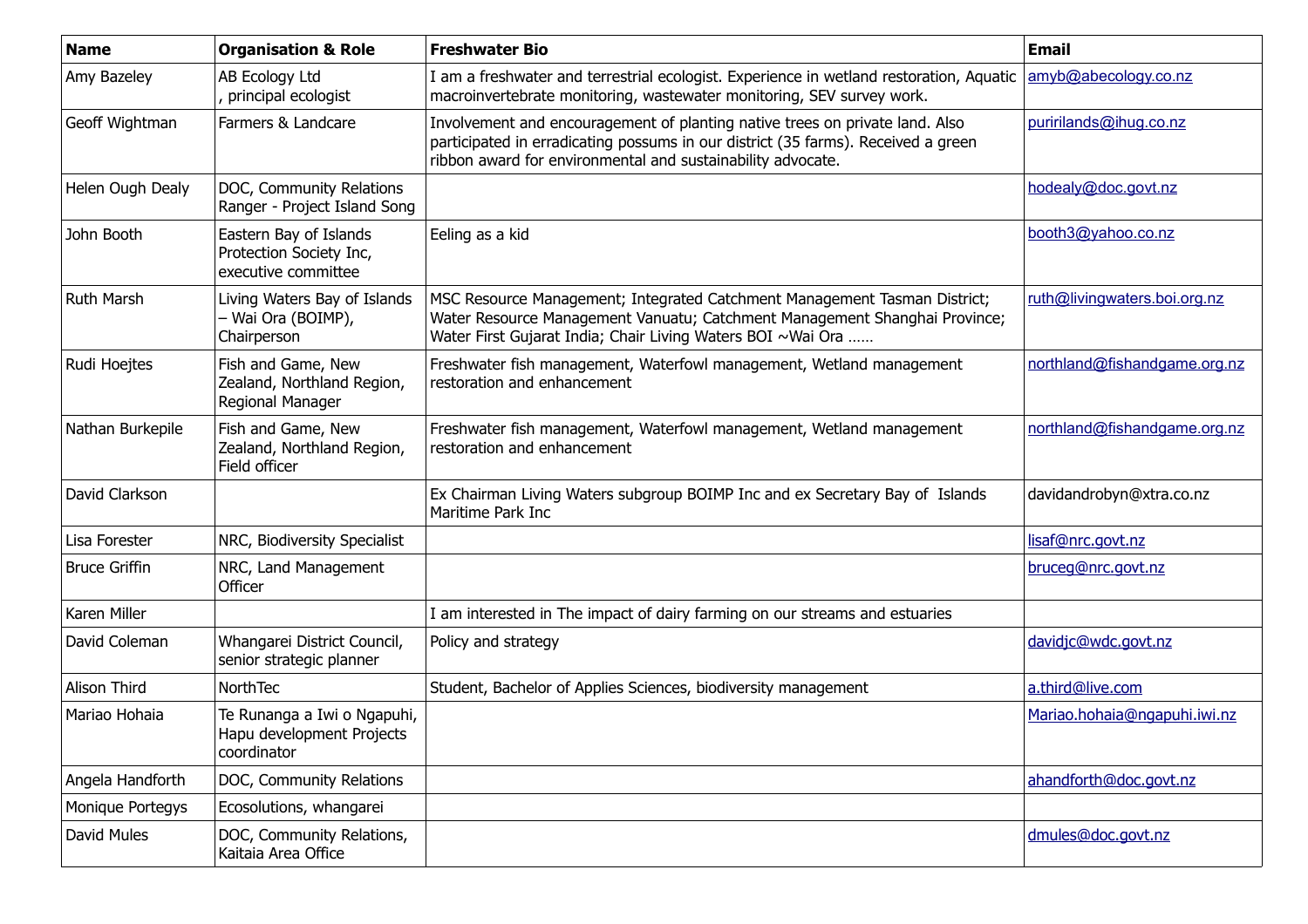| <b>Name</b>          | <b>Organisation &amp; Role</b>                                           | <b>Freshwater Bio</b>                                                                                                                                                                                                            | <b>Email</b>                 |
|----------------------|--------------------------------------------------------------------------|----------------------------------------------------------------------------------------------------------------------------------------------------------------------------------------------------------------------------------|------------------------------|
| Amy Bazeley          | AB Ecology Ltd<br>, principal ecologist                                  | I am a freshwater and terrestrial ecologist. Experience in wetland restoration, Aquatic<br>macroinvertebrate monitoring, wastewater monitoring, SEV survey work.                                                                 | amyb@abecology.co.nz         |
| Geoff Wightman       | Farmers & Landcare                                                       | Involvement and encouragement of planting native trees on private land. Also<br>participated in erradicating possums in our district (35 farms). Received a green<br>ribbon award for environmental and sustainability advocate. | puririlands@ihug.co.nz       |
| Helen Ough Dealy     | DOC, Community Relations<br>Ranger - Project Island Song                 |                                                                                                                                                                                                                                  | hodealy@doc.govt.nz          |
| John Booth           | Eastern Bay of Islands<br>Protection Society Inc,<br>executive committee | Eeling as a kid                                                                                                                                                                                                                  | booth3@yahoo.co.nz           |
| <b>Ruth Marsh</b>    | Living Waters Bay of Islands<br>- Wai Ora (BOIMP),<br>Chairperson        | MSC Resource Management; Integrated Catchment Management Tasman District;<br>Water Resource Management Vanuatu; Catchment Management Shanghai Province;<br>Water First Gujarat India; Chair Living Waters BOI ~Wai Ora           | ruth@livingwaters.boi.org.nz |
| Rudi Hoejtes         | Fish and Game, New<br>Zealand, Northland Region,<br>Regional Manager     | Freshwater fish management, Waterfowl management, Wetland management<br>restoration and enhancement                                                                                                                              | northland@fishandgame.org.nz |
| Nathan Burkepile     | Fish and Game, New<br>Zealand, Northland Region,<br>Field officer        | Freshwater fish management, Waterfowl management, Wetland management<br>restoration and enhancement                                                                                                                              | northland@fishandgame.org.nz |
| David Clarkson       |                                                                          | Ex Chairman Living Waters subgroup BOIMP Inc and ex Secretary Bay of Islands<br>Maritime Park Inc                                                                                                                                | davidandrobyn@xtra.co.nz     |
| Lisa Forester        | NRC, Biodiversity Specialist                                             |                                                                                                                                                                                                                                  | lisaf@nrc.govt.nz            |
| <b>Bruce Griffin</b> | NRC, Land Management<br>Officer                                          |                                                                                                                                                                                                                                  | bruceg@nrc.govt.nz           |
| Karen Miller         |                                                                          | I am interested in The impact of dairy farming on our streams and estuaries                                                                                                                                                      |                              |
| David Coleman        | Whangarei District Council,<br>senior strategic planner                  | Policy and strategy                                                                                                                                                                                                              | davidjc@wdc.govt.nz          |
| Alison Third         | NorthTec                                                                 | Student, Bachelor of Applies Sciences, biodiversity management                                                                                                                                                                   | a.third@live.com             |
| Mariao Hohaia        | Te Runanga a Iwi o Ngapuhi,<br>Hapu development Projects<br>coordinator  |                                                                                                                                                                                                                                  | Mariao.hohaia@ngapuhi.iwi.nz |
| Angela Handforth     | DOC, Community Relations                                                 |                                                                                                                                                                                                                                  | ahandforth@doc.govt.nz       |
| Monique Portegys     | Ecosolutions, whangarei                                                  |                                                                                                                                                                                                                                  |                              |
| David Mules          | DOC, Community Relations,<br>Kaitaia Area Office                         |                                                                                                                                                                                                                                  | dmules@doc.govt.nz           |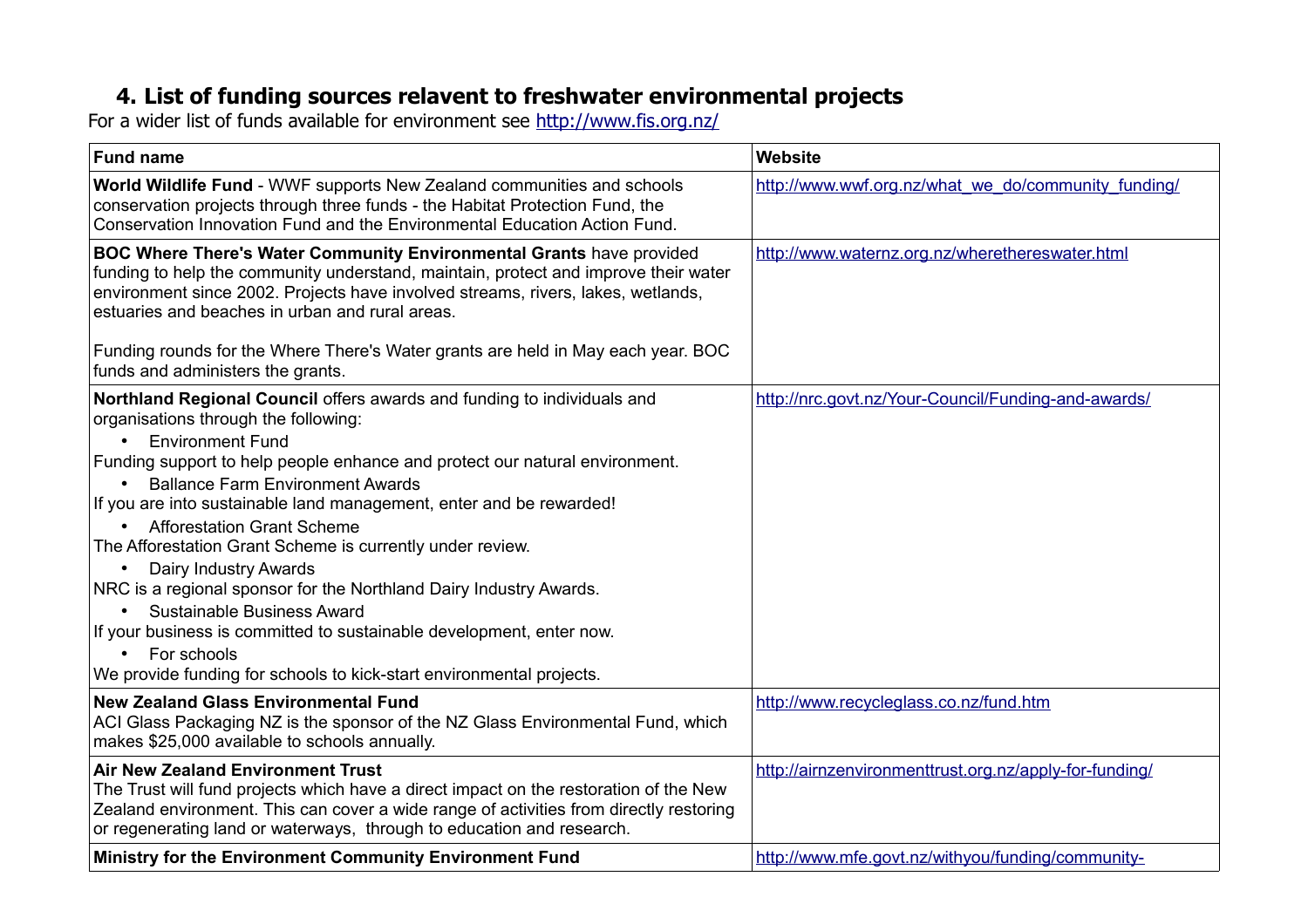## **4. List of funding sources relavent to freshwater environmental projects**

For a wider list of funds available for environment see<http://www.fis.org.nz/>

| <b>Fund name</b>                                                                                                                                                                                                                                                                                                                                                                                                                                                                                                                                                                                                                                                                                                                                                                              | Website                                                |
|-----------------------------------------------------------------------------------------------------------------------------------------------------------------------------------------------------------------------------------------------------------------------------------------------------------------------------------------------------------------------------------------------------------------------------------------------------------------------------------------------------------------------------------------------------------------------------------------------------------------------------------------------------------------------------------------------------------------------------------------------------------------------------------------------|--------------------------------------------------------|
| World Wildlife Fund - WWF supports New Zealand communities and schools<br>conservation projects through three funds - the Habitat Protection Fund, the<br>Conservation Innovation Fund and the Environmental Education Action Fund.                                                                                                                                                                                                                                                                                                                                                                                                                                                                                                                                                           | http://www.wwf.org.nz/what we do/community funding/    |
| BOC Where There's Water Community Environmental Grants have provided<br>funding to help the community understand, maintain, protect and improve their water<br>environment since 2002. Projects have involved streams, rivers, lakes, wetlands,<br>estuaries and beaches in urban and rural areas.                                                                                                                                                                                                                                                                                                                                                                                                                                                                                            | http://www.waternz.org.nz/wherethereswater.html        |
| Funding rounds for the Where There's Water grants are held in May each year. BOC<br>funds and administers the grants.                                                                                                                                                                                                                                                                                                                                                                                                                                                                                                                                                                                                                                                                         |                                                        |
| Northland Regional Council offers awards and funding to individuals and<br>organisations through the following:<br><b>Environment Fund</b><br>$\bullet$<br>Funding support to help people enhance and protect our natural environment.<br><b>Ballance Farm Environment Awards</b><br>If you are into sustainable land management, enter and be rewarded!<br><b>Afforestation Grant Scheme</b><br>The Afforestation Grant Scheme is currently under review.<br>Dairy Industry Awards<br>$\bullet$<br>NRC is a regional sponsor for the Northland Dairy Industry Awards.<br>Sustainable Business Award<br>$\bullet$<br>If your business is committed to sustainable development, enter now.<br>For schools<br>$\bullet$<br>We provide funding for schools to kick-start environmental projects. | http://nrc.govt.nz/Your-Council/Funding-and-awards/    |
| <b>New Zealand Glass Environmental Fund</b><br>ACI Glass Packaging NZ is the sponsor of the NZ Glass Environmental Fund, which<br>makes \$25,000 available to schools annually.                                                                                                                                                                                                                                                                                                                                                                                                                                                                                                                                                                                                               | http://www.recycleglass.co.nz/fund.htm                 |
| <b>Air New Zealand Environment Trust</b><br>The Trust will fund projects which have a direct impact on the restoration of the New<br>Zealand environment. This can cover a wide range of activities from directly restoring<br>or regenerating land or waterways, through to education and research.                                                                                                                                                                                                                                                                                                                                                                                                                                                                                          | http://airnzenvironmenttrust.org.nz/apply-for-funding/ |
| Ministry for the Environment Community Environment Fund                                                                                                                                                                                                                                                                                                                                                                                                                                                                                                                                                                                                                                                                                                                                       | http://www.mfe.govt.nz/withyou/funding/community-      |